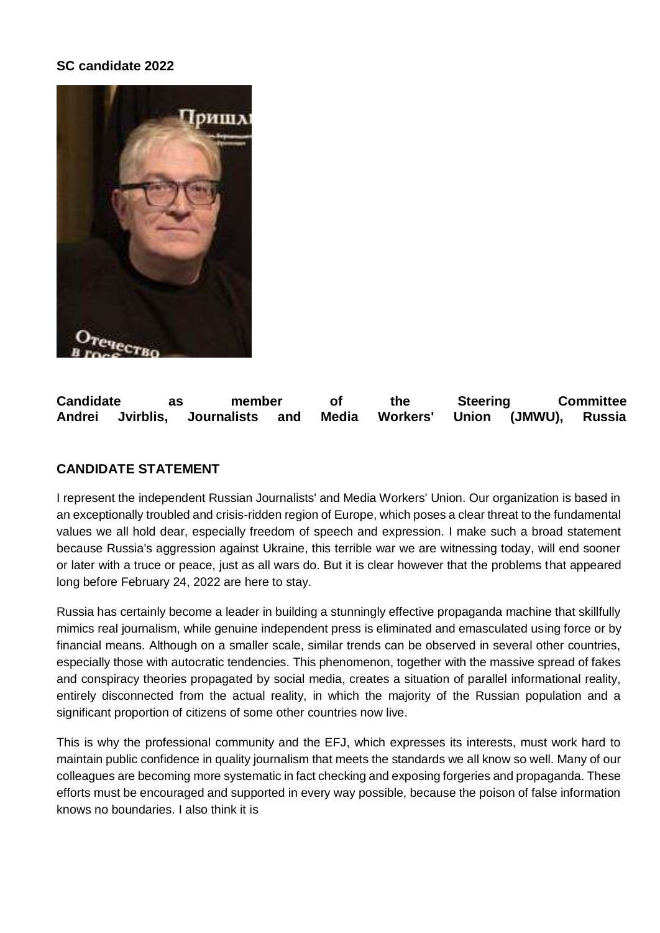## **SC candidate 2022**



**Candidate as member of the Steering Committee Andrei Jvirblis, Journalists and Media Workers' Union (JMWU), Russia**

## **CANDIDATE STATEMENT**

I represent the independent Russian Journalists' and Media Workers' Union. Our organization is based in an exceptionally troubled and crisis-ridden region of Europe, which poses a clear threat to the fundamental values we all hold dear, especially freedom of speech and expression. I make such a broad statement because Russia's aggression against Ukraine, this terrible war we are witnessing today, will end sooner or later with a truce or peace, just as all wars do. But it is clear however that the problems that appeared long before February 24, 2022 are here to stay.

Russia has certainly become a leader in building a stunningly effective propaganda machine that skillfully mimics real journalism, while genuine independent press is eliminated and emasculated using force or by financial means. Although on a smaller scale, similar trends can be observed in several other countries, especially those with autocratic tendencies. This phenomenon, together with the massive spread of fakes and conspiracy theories propagated by social media, creates a situation of parallel informational reality, entirely disconnected from the actual reality, in which the majority of the Russian population and a significant proportion of citizens of some other countries now live.

This is why the professional community and the EFJ, which expresses its interests, must work hard to maintain public confidence in quality journalism that meets the standards we all know so well. Many of our colleagues are becoming more systematic in fact checking and exposing forgeries and propaganda. These efforts must be encouraged and supported in every way possible, because the poison of false information knows no boundaries. I also think it is